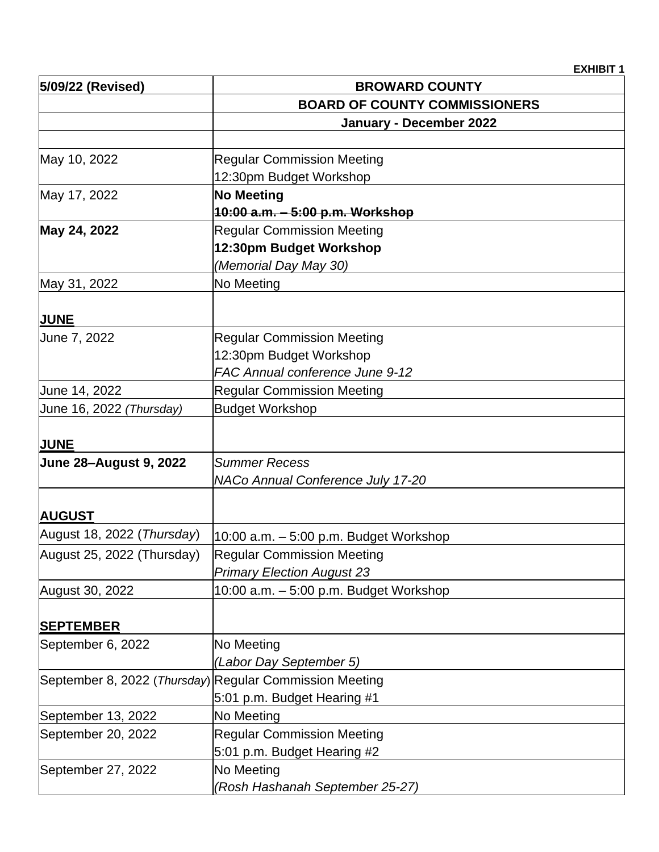**EXHIBIT 1**

| 5/09/22 (Revised)                            | <b>BROWARD COUNTY</b>                                   |
|----------------------------------------------|---------------------------------------------------------|
|                                              | <b>BOARD OF COUNTY COMMISSIONERS</b>                    |
|                                              | January - December 2022                                 |
|                                              |                                                         |
| May 10, 2022                                 | <b>Regular Commission Meeting</b>                       |
|                                              | 12:30pm Budget Workshop                                 |
| May 17, 2022                                 | <b>No Meeting</b>                                       |
|                                              | 10:00 a.m. - 5:00 p.m. Workshop                         |
| May 24, 2022                                 | <b>Regular Commission Meeting</b>                       |
|                                              | 12:30pm Budget Workshop                                 |
|                                              | (Memorial Day May 30)                                   |
| May 31, 2022                                 | No Meeting                                              |
| <b>JUNE</b>                                  |                                                         |
| June 7, 2022                                 | <b>Regular Commission Meeting</b>                       |
|                                              | 12:30pm Budget Workshop                                 |
|                                              | FAC Annual conference June 9-12                         |
| June 14, 2022                                | <b>Regular Commission Meeting</b>                       |
| June 16, 2022 (Thursday)                     | <b>Budget Workshop</b>                                  |
|                                              |                                                         |
| <b>JUNE</b><br><b>June 28-August 9, 2022</b> | <b>Summer Recess</b>                                    |
|                                              | NACo Annual Conference July 17-20                       |
|                                              |                                                         |
| <b>AUGUST</b>                                |                                                         |
| August 18, 2022 (Thursday)                   | 10:00 a.m. - 5:00 p.m. Budget Workshop                  |
| August 25, 2022 (Thursday)                   | <b>Regular Commission Meeting</b>                       |
|                                              | <b>Primary Election August 23</b>                       |
| August 30, 2022                              | 10:00 a.m. - 5:00 p.m. Budget Workshop                  |
| <b>SEPTEMBER</b>                             |                                                         |
| September 6, 2022                            | No Meeting                                              |
|                                              | (Labor Day September 5)                                 |
|                                              | September 8, 2022 (Thursday) Regular Commission Meeting |
|                                              | 5:01 p.m. Budget Hearing #1                             |
| September 13, 2022                           | No Meeting                                              |
| September 20, 2022                           | <b>Regular Commission Meeting</b>                       |
|                                              | 5:01 p.m. Budget Hearing #2                             |
| September 27, 2022                           | No Meeting                                              |
|                                              | (Rosh Hashanah September 25-27)                         |